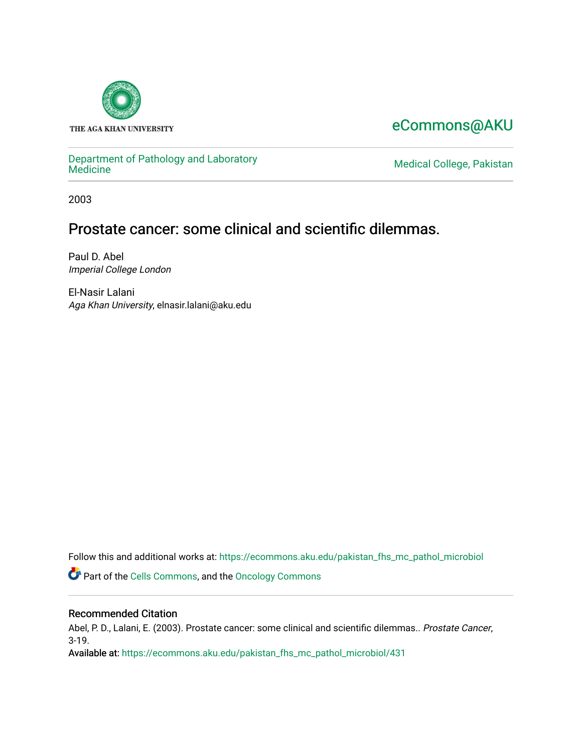

# [eCommons@AKU](https://ecommons.aku.edu/)

# [Department of Pathology and Laboratory](https://ecommons.aku.edu/pakistan_fhs_mc_pathol_microbiol)

Medical College, Pakistan

2003

# Prostate cancer: some clinical and scientific dilemmas.

Paul D. Abel Imperial College London

El-Nasir Lalani Aga Khan University, elnasir.lalani@aku.edu

Follow this and additional works at: [https://ecommons.aku.edu/pakistan\\_fhs\\_mc\\_pathol\\_microbiol](https://ecommons.aku.edu/pakistan_fhs_mc_pathol_microbiol?utm_source=ecommons.aku.edu%2Fpakistan_fhs_mc_pathol_microbiol%2F431&utm_medium=PDF&utm_campaign=PDFCoverPages) 

Part of the [Cells Commons,](http://network.bepress.com/hgg/discipline/940?utm_source=ecommons.aku.edu%2Fpakistan_fhs_mc_pathol_microbiol%2F431&utm_medium=PDF&utm_campaign=PDFCoverPages) and the [Oncology Commons](http://network.bepress.com/hgg/discipline/694?utm_source=ecommons.aku.edu%2Fpakistan_fhs_mc_pathol_microbiol%2F431&utm_medium=PDF&utm_campaign=PDFCoverPages)

#### Recommended Citation

Abel, P. D., Lalani, E. (2003). Prostate cancer: some clinical and scientific dilemmas.. Prostate Cancer, 3-19.

Available at: [https://ecommons.aku.edu/pakistan\\_fhs\\_mc\\_pathol\\_microbiol/431](https://ecommons.aku.edu/pakistan_fhs_mc_pathol_microbiol/431)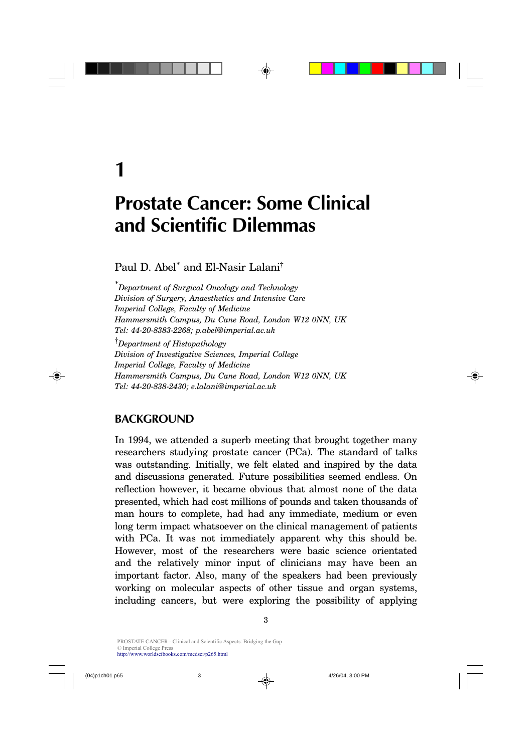# **Prostate Cancer: Some Clinical and Scientific Dilemmas**

Paul D. Abel<sup>\*</sup> and El-Nasir Lalani<sup>†</sup>

\**Department of Surgical Oncology and Technology Division of Surgery, Anaesthetics and Intensive Care Imperial College, Faculty of Medicine Hammersmith Campus, Du Cane Road, London W12 0NN, UK Tel: 44-20-8383-2268; p.abel@imperial.ac.uk*

†*Department of Histopathology Division of Investigative Sciences, Imperial College Imperial College, Faculty of Medicine Hammersmith Campus, Du Cane Road, London W12 0NN, UK Tel: 44-20-838-2430; e.lalani@imperial.ac.uk*

### **BACKGROUND**

In 1994, we attended a superb meeting that brought together many researchers studying prostate cancer (PCa). The standard of talks was outstanding. Initially, we felt elated and inspired by the data and discussions generated. Future possibilities seemed endless. On reflection however, it became obvious that almost none of the data presented, which had cost millions of pounds and taken thousands of man hours to complete, had had any immediate, medium or even long term impact whatsoever on the clinical management of patients with PCa. It was not immediately apparent why this should be. However, most of the researchers were basic science orientated and the relatively minor input of clinicians may have been an important factor. Also, many of the speakers had been previously working on molecular aspects of other tissue and organ systems, including cancers, but were exploring the possibility of applying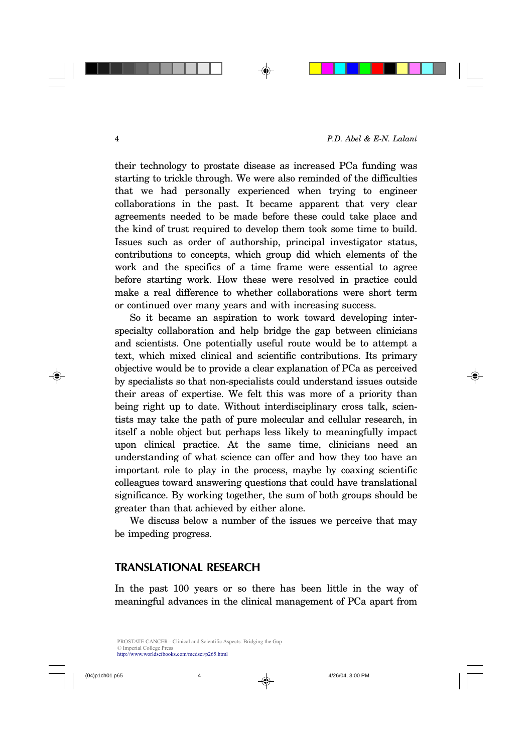their technology to prostate disease as increased PCa funding was starting to trickle through. We were also reminded of the difficulties that we had personally experienced when trying to engineer collaborations in the past. It became apparent that very clear agreements needed to be made before these could take place and the kind of trust required to develop them took some time to build. Issues such as order of authorship, principal investigator status, contributions to concepts, which group did which elements of the work and the specifics of a time frame were essential to agree before starting work. How these were resolved in practice could make a real difference to whether collaborations were short term or continued over many years and with increasing success.

So it became an aspiration to work toward developing interspecialty collaboration and help bridge the gap between clinicians and scientists. One potentially useful route would be to attempt a text, which mixed clinical and scientific contributions. Its primary objective would be to provide a clear explanation of PCa as perceived by specialists so that non-specialists could understand issues outside their areas of expertise. We felt this was more of a priority than being right up to date. Without interdisciplinary cross talk, scientists may take the path of pure molecular and cellular research, in itself a noble object but perhaps less likely to meaningfully impact upon clinical practice. At the same time, clinicians need an understanding of what science can offer and how they too have an important role to play in the process, maybe by coaxing scientific colleagues toward answering questions that could have translational significance. By working together, the sum of both groups should be greater than that achieved by either alone.

We discuss below a number of the issues we perceive that may be impeding progress.

### **TRANSLATIONAL RESEARCH**

In the past 100 years or so there has been little in the way of meaningful advances in the clinical management of PCa apart from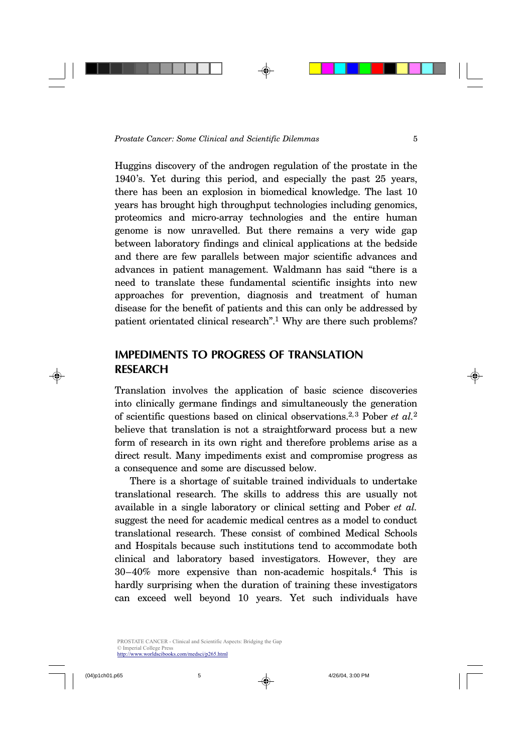Huggins discovery of the androgen regulation of the prostate in the 1940's. Yet during this period, and especially the past 25 years, there has been an explosion in biomedical knowledge. The last 10 years has brought high throughput technologies including genomics, proteomics and micro-array technologies and the entire human genome is now unravelled. But there remains a very wide gap between laboratory findings and clinical applications at the bedside and there are few parallels between major scientific advances and advances in patient management. Waldmann has said "there is a need to translate these fundamental scientific insights into new approaches for prevention, diagnosis and treatment of human disease for the benefit of patients and this can only be addressed by patient orientated clinical research".<sup>1</sup> Why are there such problems?

## **IMPEDIMENTS TO PROGRESS OF TRANSLATION RESEARCH**

Translation involves the application of basic science discoveries into clinically germane findings and simultaneously the generation of scientific questions based on clinical observations.<sup>2, 3</sup> Pober *et al.*<sup>2</sup> believe that translation is not a straightforward process but a new form of research in its own right and therefore problems arise as a direct result. Many impediments exist and compromise progress as a consequence and some are discussed below.

There is a shortage of suitable trained individuals to undertake translational research. The skills to address this are usually not available in a single laboratory or clinical setting and Pober *et al.* suggest the need for academic medical centres as a model to conduct translational research. These consist of combined Medical Schools and Hospitals because such institutions tend to accommodate both clinical and laboratory based investigators. However, they are 30–40% more expensive than non-academic hospitals.<sup>4</sup> This is hardly surprising when the duration of training these investigators can exceed well beyond 10 years. Yet such individuals have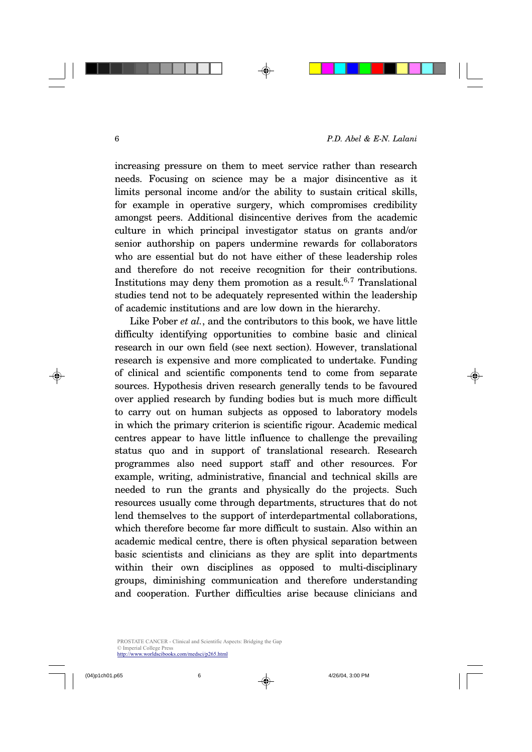increasing pressure on them to meet service rather than research needs. Focusing on science may be a major disincentive as it limits personal income and/or the ability to sustain critical skills, for example in operative surgery, which compromises credibility amongst peers. Additional disincentive derives from the academic culture in which principal investigator status on grants and/or senior authorship on papers undermine rewards for collaborators who are essential but do not have either of these leadership roles and therefore do not receive recognition for their contributions. Institutions may deny them promotion as a result.<sup>6,7</sup> Translational studies tend not to be adequately represented within the leadership of academic institutions and are low down in the hierarchy.

Like Pober *et al.*, and the contributors to this book, we have little difficulty identifying opportunities to combine basic and clinical research in our own field (see next section). However, translational research is expensive and more complicated to undertake. Funding of clinical and scientific components tend to come from separate sources. Hypothesis driven research generally tends to be favoured over applied research by funding bodies but is much more difficult to carry out on human subjects as opposed to laboratory models in which the primary criterion is scientific rigour. Academic medical centres appear to have little influence to challenge the prevailing status quo and in support of translational research. Research programmes also need support staff and other resources. For example, writing, administrative, financial and technical skills are needed to run the grants and physically do the projects. Such resources usually come through departments, structures that do not lend themselves to the support of interdepartmental collaborations, which therefore become far more difficult to sustain. Also within an academic medical centre, there is often physical separation between basic scientists and clinicians as they are split into departments within their own disciplines as opposed to multi-disciplinary groups, diminishing communication and therefore understanding and cooperation. Further difficulties arise because clinicians and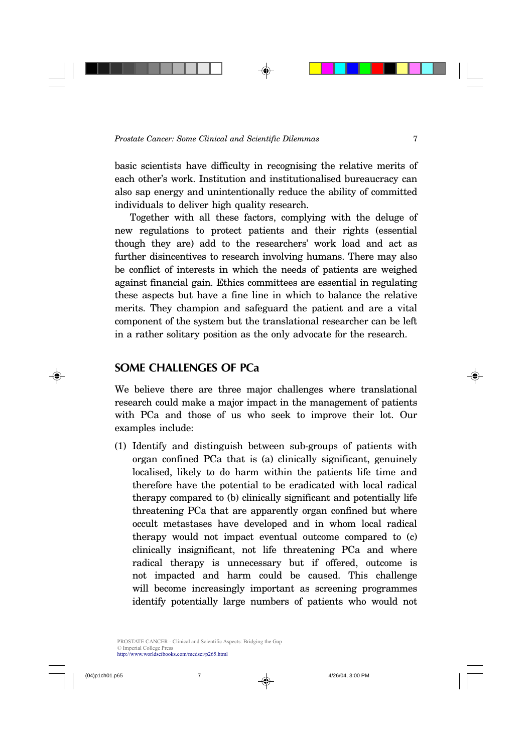basic scientists have difficulty in recognising the relative merits of each other's work. Institution and institutionalised bureaucracy can also sap energy and unintentionally reduce the ability of committed individuals to deliver high quality research.

Together with all these factors, complying with the deluge of new regulations to protect patients and their rights (essential though they are) add to the researchers' work load and act as further disincentives to research involving humans. There may also be conflict of interests in which the needs of patients are weighed against financial gain. Ethics committees are essential in regulating these aspects but have a fine line in which to balance the relative merits. They champion and safeguard the patient and are a vital component of the system but the translational researcher can be left in a rather solitary position as the only advocate for the research.

### **SOME CHALLENGES OF PCa**

We believe there are three major challenges where translational research could make a major impact in the management of patients with PCa and those of us who seek to improve their lot. Our examples include:

(1) Identify and distinguish between sub-groups of patients with organ confined PCa that is (a) clinically significant, genuinely localised, likely to do harm within the patients life time and therefore have the potential to be eradicated with local radical therapy compared to (b) clinically significant and potentially life threatening PCa that are apparently organ confined but where occult metastases have developed and in whom local radical therapy would not impact eventual outcome compared to (c) clinically insignificant, not life threatening PCa and where radical therapy is unnecessary but if offered, outcome is not impacted and harm could be caused. This challenge will become increasingly important as screening programmes identify potentially large numbers of patients who would not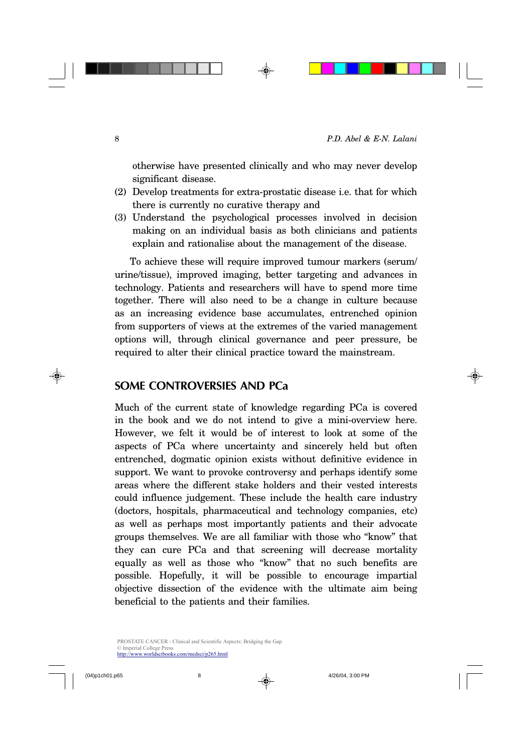otherwise have presented clinically and who may never develop significant disease.

- (2) Develop treatments for extra-prostatic disease i.e. that for which there is currently no curative therapy and
- (3) Understand the psychological processes involved in decision making on an individual basis as both clinicians and patients explain and rationalise about the management of the disease.

To achieve these will require improved tumour markers (serum/ urine/tissue), improved imaging, better targeting and advances in technology. Patients and researchers will have to spend more time together. There will also need to be a change in culture because as an increasing evidence base accumulates, entrenched opinion from supporters of views at the extremes of the varied management options will, through clinical governance and peer pressure, be required to alter their clinical practice toward the mainstream.

### **SOME CONTROVERSIES AND PCa**

Much of the current state of knowledge regarding PCa is covered in the book and we do not intend to give a mini-overview here. However, we felt it would be of interest to look at some of the aspects of PCa where uncertainty and sincerely held but often entrenched, dogmatic opinion exists without definitive evidence in support. We want to provoke controversy and perhaps identify some areas where the different stake holders and their vested interests could influence judgement. These include the health care industry (doctors, hospitals, pharmaceutical and technology companies, etc) as well as perhaps most importantly patients and their advocate groups themselves. We are all familiar with those who "know" that they can cure PCa and that screening will decrease mortality equally as well as those who "know" that no such benefits are possible. Hopefully, it will be possible to encourage impartial objective dissection of the evidence with the ultimate aim being beneficial to the patients and their families.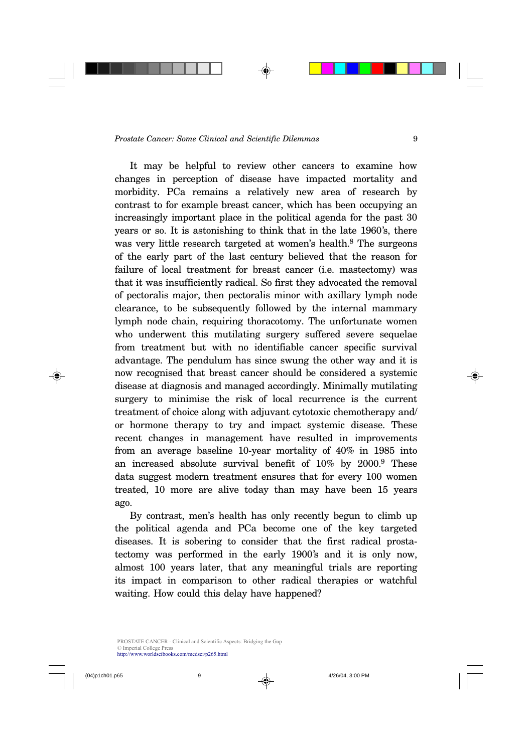It may be helpful to review other cancers to examine how changes in perception of disease have impacted mortality and morbidity. PCa remains a relatively new area of research by contrast to for example breast cancer, which has been occupying an increasingly important place in the political agenda for the past 30 years or so. It is astonishing to think that in the late 1960's, there was very little research targeted at women's health.<sup>8</sup> The surgeons of the early part of the last century believed that the reason for failure of local treatment for breast cancer (i.e. mastectomy) was that it was insufficiently radical. So first they advocated the removal of pectoralis major, then pectoralis minor with axillary lymph node clearance, to be subsequently followed by the internal mammary lymph node chain, requiring thoracotomy. The unfortunate women who underwent this mutilating surgery suffered severe sequelae from treatment but with no identifiable cancer specific survival advantage. The pendulum has since swung the other way and it is now recognised that breast cancer should be considered a systemic disease at diagnosis and managed accordingly. Minimally mutilating surgery to minimise the risk of local recurrence is the current treatment of choice along with adjuvant cytotoxic chemotherapy and/ or hormone therapy to try and impact systemic disease. These recent changes in management have resulted in improvements from an average baseline 10-year mortality of 40% in 1985 into an increased absolute survival benefit of 10% by 2000.<sup>9</sup> These data suggest modern treatment ensures that for every 100 women treated, 10 more are alive today than may have been 15 years ago.

By contrast, men's health has only recently begun to climb up the political agenda and PCa become one of the key targeted diseases. It is sobering to consider that the first radical prostatectomy was performed in the early 1900's and it is only now, almost 100 years later, that any meaningful trials are reporting its impact in comparison to other radical therapies or watchful waiting. How could this delay have happened?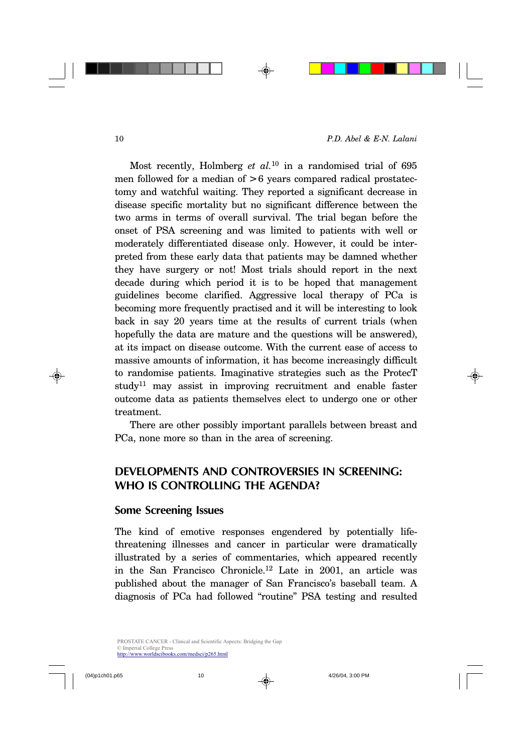Most recently, Holmberg *et al.*10 in a randomised trial of 695 men followed for a median of > 6 years compared radical prostatectomy and watchful waiting. They reported a significant decrease in disease specific mortality but no significant difference between the two arms in terms of overall survival. The trial began before the onset of PSA screening and was limited to patients with well or moderately differentiated disease only. However, it could be interpreted from these early data that patients may be damned whether they have surgery or not! Most trials should report in the next decade during which period it is to be hoped that management guidelines become clarified. Aggressive local therapy of PCa is becoming more frequently practised and it will be interesting to look back in say 20 years time at the results of current trials (when hopefully the data are mature and the questions will be answered), at its impact on disease outcome. With the current ease of access to massive amounts of information, it has become increasingly difficult to randomise patients. Imaginative strategies such as the ProtecT study<sup>11</sup> may assist in improving recruitment and enable faster outcome data as patients themselves elect to undergo one or other treatment.

There are other possibly important parallels between breast and PCa, none more so than in the area of screening.

# **DEVELOPMENTS AND CONTROVERSIES IN SCREENING: WHO IS CONTROLLING THE AGENDA?**

#### **Some Screening Issues**

The kind of emotive responses engendered by potentially lifethreatening illnesses and cancer in particular were dramatically illustrated by a series of commentaries, which appeared recently in the San Francisco Chronicle.<sup>12</sup> Late in 2001, an article was published about the manager of San Francisco's baseball team. A diagnosis of PCa had followed "routine" PSA testing and resulted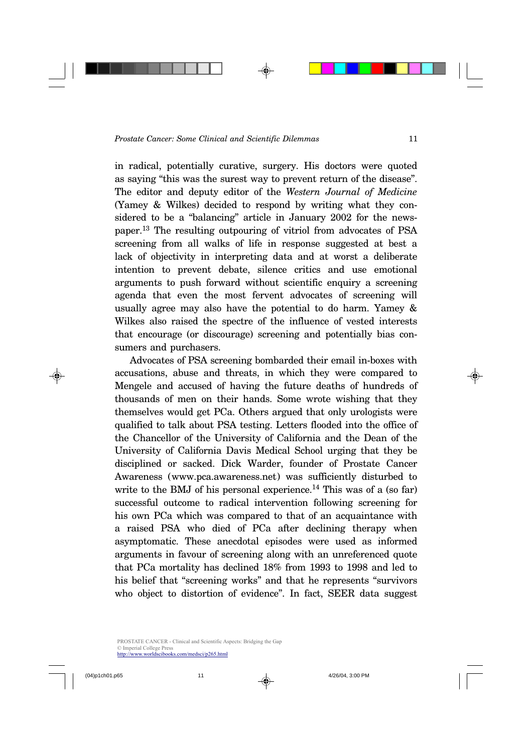in radical, potentially curative, surgery. His doctors were quoted as saying "this was the surest way to prevent return of the disease". The editor and deputy editor of the *Western Journal of Medicine* (Yamey & Wilkes) decided to respond by writing what they considered to be a "balancing" article in January 2002 for the newspaper.13 The resulting outpouring of vitriol from advocates of PSA screening from all walks of life in response suggested at best a lack of objectivity in interpreting data and at worst a deliberate intention to prevent debate, silence critics and use emotional arguments to push forward without scientific enquiry a screening agenda that even the most fervent advocates of screening will usually agree may also have the potential to do harm. Yamey & Wilkes also raised the spectre of the influence of vested interests that encourage (or discourage) screening and potentially bias consumers and purchasers.

Advocates of PSA screening bombarded their email in-boxes with accusations, abuse and threats, in which they were compared to Mengele and accused of having the future deaths of hundreds of thousands of men on their hands. Some wrote wishing that they themselves would get PCa. Others argued that only urologists were qualified to talk about PSA testing. Letters flooded into the office of the Chancellor of the University of California and the Dean of the University of California Davis Medical School urging that they be disciplined or sacked. Dick Warder, founder of Prostate Cancer Awareness (www.pca.awareness.net) was sufficiently disturbed to write to the BMJ of his personal experience.<sup>14</sup> This was of a (so far) successful outcome to radical intervention following screening for his own PCa which was compared to that of an acquaintance with a raised PSA who died of PCa after declining therapy when asymptomatic. These anecdotal episodes were used as informed arguments in favour of screening along with an unreferenced quote that PCa mortality has declined 18% from 1993 to 1998 and led to his belief that "screening works" and that he represents "survivors who object to distortion of evidence". In fact, SEER data suggest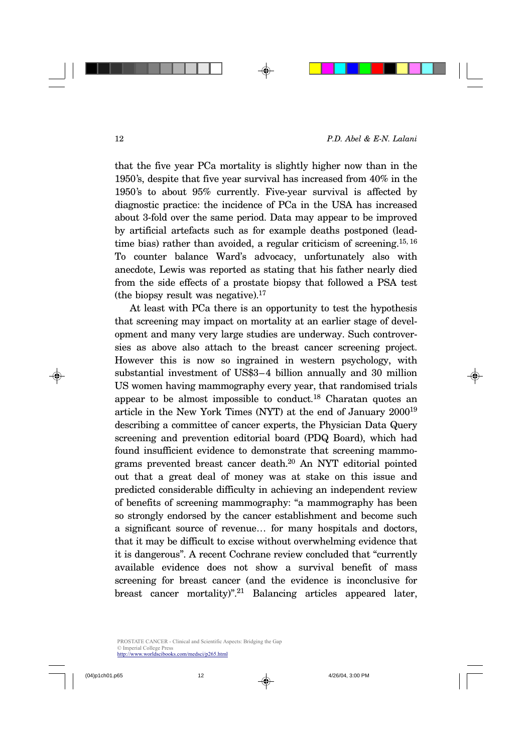that the five year PCa mortality is slightly higher now than in the 1950's, despite that five year survival has increased from 40% in the 1950's to about 95% currently. Five-year survival is affected by diagnostic practice: the incidence of PCa in the USA has increased about 3-fold over the same period. Data may appear to be improved by artificial artefacts such as for example deaths postponed (leadtime bias) rather than avoided, a regular criticism of screening.<sup>15, 16</sup> To counter balance Ward's advocacy, unfortunately also with anecdote, Lewis was reported as stating that his father nearly died from the side effects of a prostate biopsy that followed a PSA test (the biopsy result was negative). $17$ 

At least with PCa there is an opportunity to test the hypothesis that screening may impact on mortality at an earlier stage of development and many very large studies are underway. Such controversies as above also attach to the breast cancer screening project. However this is now so ingrained in western psychology, with substantial investment of US\$3–4 billion annually and 30 million US women having mammography every year, that randomised trials appear to be almost impossible to conduct.<sup>18</sup> Charatan quotes an article in the New York Times (NYT) at the end of January 2000<sup>19</sup> describing a committee of cancer experts, the Physician Data Query screening and prevention editorial board (PDQ Board), which had found insufficient evidence to demonstrate that screening mammograms prevented breast cancer death.20 An NYT editorial pointed out that a great deal of money was at stake on this issue and predicted considerable difficulty in achieving an independent review of benefits of screening mammography: "a mammography has been so strongly endorsed by the cancer establishment and become such a significant source of revenue… for many hospitals and doctors, that it may be difficult to excise without overwhelming evidence that it is dangerous". A recent Cochrane review concluded that "currently available evidence does not show a survival benefit of mass screening for breast cancer (and the evidence is inconclusive for breast cancer mortality)".<sup>21</sup> Balancing articles appeared later,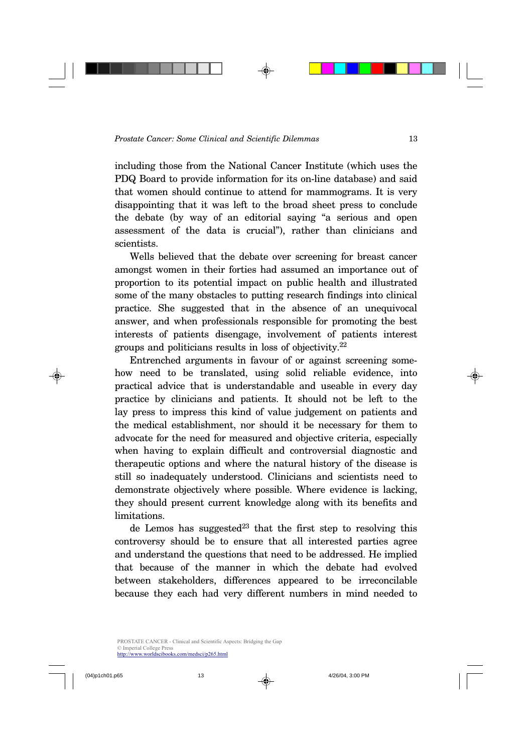including those from the National Cancer Institute (which uses the PDQ Board to provide information for its on-line database) and said that women should continue to attend for mammograms. It is very disappointing that it was left to the broad sheet press to conclude the debate (by way of an editorial saying "a serious and open assessment of the data is crucial"), rather than clinicians and scientists.

Wells believed that the debate over screening for breast cancer amongst women in their forties had assumed an importance out of proportion to its potential impact on public health and illustrated some of the many obstacles to putting research findings into clinical practice. She suggested that in the absence of an unequivocal answer, and when professionals responsible for promoting the best interests of patients disengage, involvement of patients interest groups and politicians results in loss of objectivity.<sup>22</sup>

Entrenched arguments in favour of or against screening somehow need to be translated, using solid reliable evidence, into practical advice that is understandable and useable in every day practice by clinicians and patients. It should not be left to the lay press to impress this kind of value judgement on patients and the medical establishment, nor should it be necessary for them to advocate for the need for measured and objective criteria, especially when having to explain difficult and controversial diagnostic and therapeutic options and where the natural history of the disease is still so inadequately understood. Clinicians and scientists need to demonstrate objectively where possible. Where evidence is lacking, they should present current knowledge along with its benefits and limitations.

de Lemos has suggested<sup>23</sup> that the first step to resolving this controversy should be to ensure that all interested parties agree and understand the questions that need to be addressed. He implied that because of the manner in which the debate had evolved between stakeholders, differences appeared to be irreconcilable because they each had very different numbers in mind needed to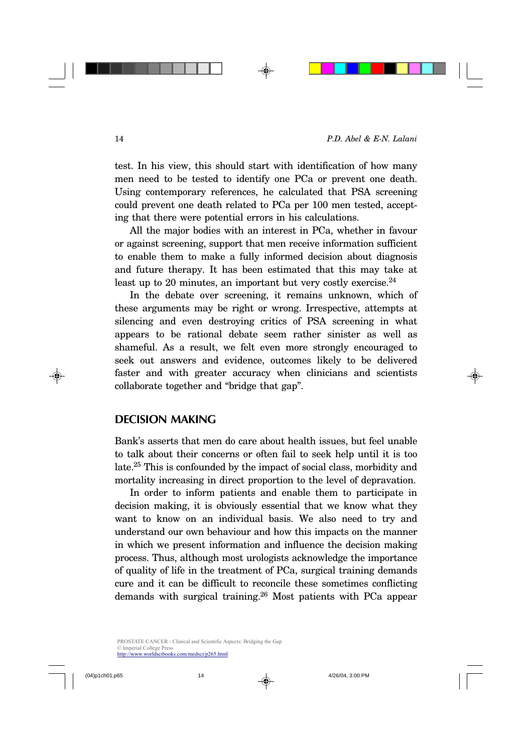test. In his view, this should start with identification of how many men need to be tested to identify one PCa or prevent one death. Using contemporary references, he calculated that PSA screening could prevent one death related to PCa per 100 men tested, accepting that there were potential errors in his calculations.

All the major bodies with an interest in PCa, whether in favour or against screening, support that men receive information sufficient to enable them to make a fully informed decision about diagnosis and future therapy. It has been estimated that this may take at least up to 20 minutes, an important but very costly exercise. $^{24}$ 

In the debate over screening, it remains unknown, which of these arguments may be right or wrong. Irrespective, attempts at silencing and even destroying critics of PSA screening in what appears to be rational debate seem rather sinister as well as shameful. As a result, we felt even more strongly encouraged to seek out answers and evidence, outcomes likely to be delivered faster and with greater accuracy when clinicians and scientists collaborate together and "bridge that gap".

#### **DECISION MAKING**

Bank's asserts that men do care about health issues, but feel unable to talk about their concerns or often fail to seek help until it is too late.25 This is confounded by the impact of social class, morbidity and mortality increasing in direct proportion to the level of depravation.

In order to inform patients and enable them to participate in decision making, it is obviously essential that we know what they want to know on an individual basis. We also need to try and understand our own behaviour and how this impacts on the manner in which we present information and influence the decision making process. Thus, although most urologists acknowledge the importance of quality of life in the treatment of PCa, surgical training demands cure and it can be difficult to reconcile these sometimes conflicting demands with surgical training.<sup>26</sup> Most patients with PCa appear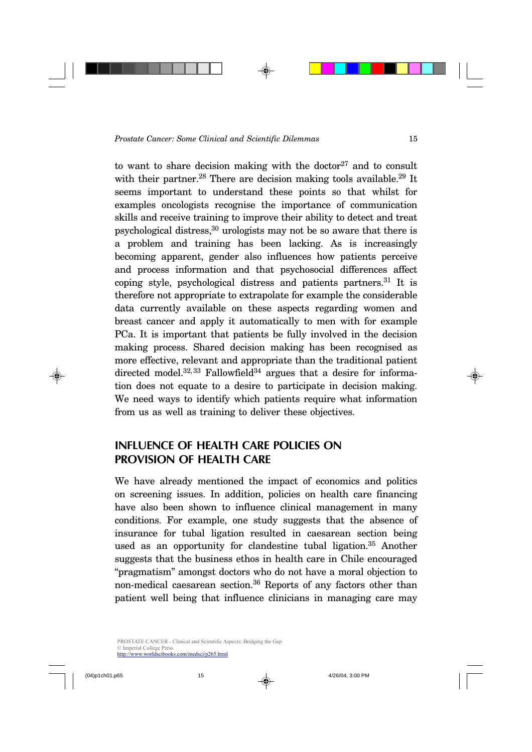to want to share decision making with the doctor<sup>27</sup> and to consult with their partner.<sup>28</sup> There are decision making tools available.<sup>29</sup> It seems important to understand these points so that whilst for examples oncologists recognise the importance of communication skills and receive training to improve their ability to detect and treat psychological distress,30 urologists may not be so aware that there is a problem and training has been lacking. As is increasingly becoming apparent, gender also influences how patients perceive and process information and that psychosocial differences affect coping style, psychological distress and patients partners.<sup>31</sup> It is therefore not appropriate to extrapolate for example the considerable data currently available on these aspects regarding women and breast cancer and apply it automatically to men with for example PCa. It is important that patients be fully involved in the decision making process. Shared decision making has been recognised as more effective, relevant and appropriate than the traditional patient directed model.<sup>32, 33</sup> Fallowfield<sup>34</sup> argues that a desire for information does not equate to a desire to participate in decision making. We need ways to identify which patients require what information from us as well as training to deliver these objectives.

# **INFLUENCE OF HEALTH CARE POLICIES ON PROVISION OF HEALTH CARE**

We have already mentioned the impact of economics and politics on screening issues. In addition, policies on health care financing have also been shown to influence clinical management in many conditions. For example, one study suggests that the absence of insurance for tubal ligation resulted in caesarean section being used as an opportunity for clandestine tubal ligation.<sup>35</sup> Another suggests that the business ethos in health care in Chile encouraged "pragmatism" amongst doctors who do not have a moral objection to non-medical caesarean section.<sup>36</sup> Reports of any factors other than patient well being that influence clinicians in managing care may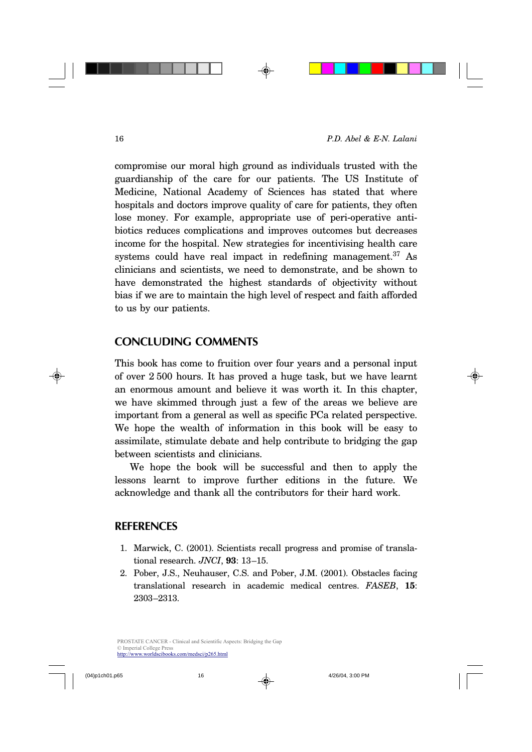compromise our moral high ground as individuals trusted with the guardianship of the care for our patients. The US Institute of Medicine, National Academy of Sciences has stated that where hospitals and doctors improve quality of care for patients, they often lose money. For example, appropriate use of peri-operative antibiotics reduces complications and improves outcomes but decreases income for the hospital. New strategies for incentivising health care systems could have real impact in redefining management.<sup>37</sup> As clinicians and scientists, we need to demonstrate, and be shown to have demonstrated the highest standards of objectivity without bias if we are to maintain the high level of respect and faith afforded to us by our patients.

#### **CONCLUDING COMMENTS**

This book has come to fruition over four years and a personal input of over 2 500 hours. It has proved a huge task, but we have learnt an enormous amount and believe it was worth it. In this chapter, we have skimmed through just a few of the areas we believe are important from a general as well as specific PCa related perspective. We hope the wealth of information in this book will be easy to assimilate, stimulate debate and help contribute to bridging the gap between scientists and clinicians.

We hope the book will be successful and then to apply the lessons learnt to improve further editions in the future. We acknowledge and thank all the contributors for their hard work.

#### **REFERENCES**

- 1. Marwick, C. (2001). Scientists recall progress and promise of translational research. *JNCI*, **93**: 13–15.
- 2. Pober, J.S., Neuhauser, C.S. and Pober, J.M. (2001). Obstacles facing translational research in academic medical centres. *FASEB*, **15**: 2303–2313.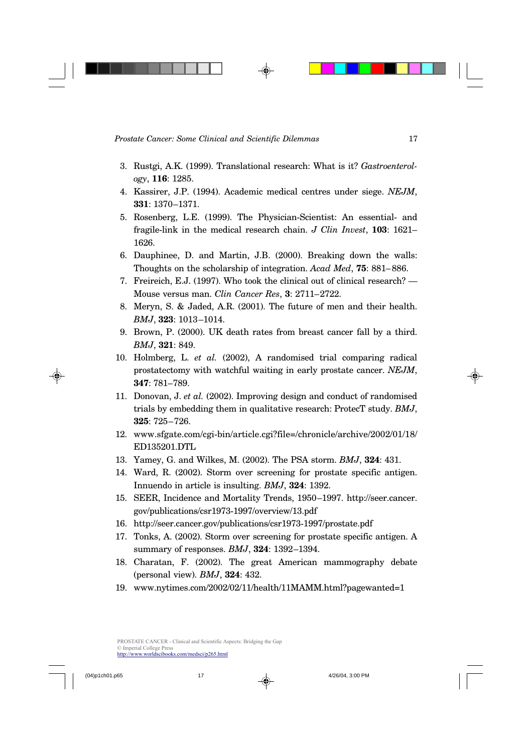- 3. Rustgi, A.K. (1999). Translational research: What is it? *Gastroenterology*, **116**: 1285.
- 4. Kassirer, J.P. (1994). Academic medical centres under siege. *NEJM*, **331**: 1370–1371.
- 5. Rosenberg, L.E. (1999). The Physician-Scientist: An essential- and fragile-link in the medical research chain. *J Clin Invest*, **103**: 1621– 1626.
- 6. Dauphinee, D. and Martin, J.B. (2000). Breaking down the walls: Thoughts on the scholarship of integration. *Acad Med*, **75**: 881–886.
- 7. Freireich, E.J. (1997). Who took the clinical out of clinical research? Mouse versus man. *Clin Cancer Res*, **3**: 2711–2722.
- 8. Meryn, S. & Jaded, A.R. (2001). The future of men and their health. *BMJ*, **323**: 1013–1014.
- 9. Brown, P. (2000). UK death rates from breast cancer fall by a third. *BMJ*, **321**: 849.
- 10. Holmberg, L. *et al.* (2002), A randomised trial comparing radical prostatectomy with watchful waiting in early prostate cancer. *NEJM*, **347**: 781–789.
- 11. Donovan, J. *et al.* (2002). Improving design and conduct of randomised trials by embedding them in qualitative research: ProtecT study. *BMJ*, **325**: 725–726.
- 12. www.sfgate.com/cgi-bin/article.cgi?file=/chronicle/archive/2002/01/18/ ED135201.DTL
- 13. Yamey, G. and Wilkes, M. (2002). The PSA storm. *BMJ*, **324**: 431.
- 14. Ward, R. (2002). Storm over screening for prostate specific antigen. Innuendo in article is insulting. *BMJ*, **324**: 1392.
- 15. SEER, Incidence and Mortality Trends, 1950–1997. http://seer.cancer. gov/publications/csr1973-1997/overview/13.pdf
- 16. http://seer.cancer.gov/publications/csr1973-1997/prostate.pdf
- 17. Tonks, A. (2002). Storm over screening for prostate specific antigen. A summary of responses. *BMJ*, **324**: 1392–1394.
- 18. Charatan, F. (2002). The great American mammography debate (personal view). *BMJ*, **324**: 432.
- 19. www.nytimes.com/2002/02/11/health/11MAMM.html?pagewanted=1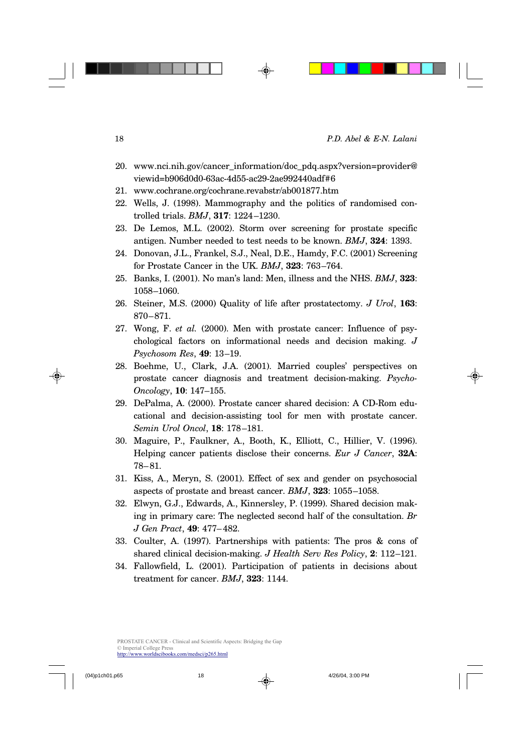- 20. www.nci.nih.gov/cancer\_information/doc\_pdq.aspx?version=provider@ viewid=b906d0d0-63ac-4d55-ac29-2ae992440adf#6
- 21. www.cochrane.org/cochrane.revabstr/ab001877.htm
- 22. Wells, J. (1998). Mammography and the politics of randomised controlled trials. *BMJ*, **317**: 1224–1230.
- 23. De Lemos, M.L. (2002). Storm over screening for prostate specific antigen. Number needed to test needs to be known. *BMJ*, **324**: 1393.
- 24. Donovan, J.L., Frankel, S.J., Neal, D.E., Hamdy, F.C. (2001) Screening for Prostate Cancer in the UK. *BMJ*, **323**: 763–764.
- 25. Banks, I. (2001). No man's land: Men, illness and the NHS. *BMJ*, **323**: 1058–1060.
- 26. Steiner, M.S. (2000) Quality of life after prostatectomy. *J Urol*, **163**: 870–871.
- 27. Wong, F. *et al.* (2000). Men with prostate cancer: Influence of psychological factors on informational needs and decision making. *J Psychosom Res*, **49**: 13–19.
- 28. Boehme, U., Clark, J.A. (2001). Married couples' perspectives on prostate cancer diagnosis and treatment decision-making. *Psycho-Oncology*, **10**: 147–155.
- 29. DePalma, A. (2000). Prostate cancer shared decision: A CD-Rom educational and decision-assisting tool for men with prostate cancer. *Semin Urol Oncol*, **18**: 178–181.
- 30. Maguire, P., Faulkner, A., Booth, K., Elliott, C., Hillier, V. (1996). Helping cancer patients disclose their concerns. *Eur J Cancer*, **32A**: 78–81.
- 31. Kiss, A., Meryn, S. (2001). Effect of sex and gender on psychosocial aspects of prostate and breast cancer. *BMJ*, **323**: 1055–1058.
- 32. Elwyn, G.J., Edwards, A., Kinnersley, P. (1999). Shared decision making in primary care: The neglected second half of the consultation. *Br J Gen Pract*, **49**: 477–482.
- 33. Coulter, A. (1997). Partnerships with patients: The pros & cons of shared clinical decision-making. *J Health Serv Res Policy*, **2**: 112–121.
- 34. Fallowfield, L. (2001). Participation of patients in decisions about treatment for cancer. *BMJ*, **323**: 1144.